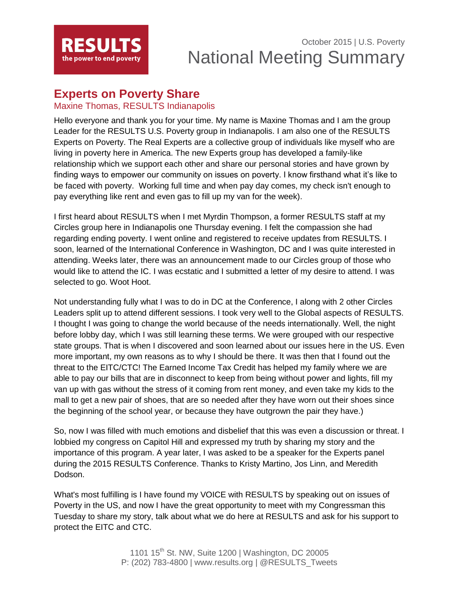

# October 2015 | U.S. Poverty National Meeting Summary

# **Experts on Poverty Share**

## Maxine Thomas, RESULTS Indianapolis

Hello everyone and thank you for your time. My name is Maxine Thomas and I am the group Leader for the RESULTS U.S. Poverty group in Indianapolis. I am also one of the RESULTS Experts on Poverty. The Real Experts are a collective group of individuals like myself who are living in poverty here in America. The new Experts group has developed a family-like relationship which we support each other and share our personal stories and have grown by finding ways to empower our community on issues on poverty. I know firsthand what it's like to be faced with poverty. Working full time and when pay day comes, my check isn't enough to pay everything like rent and even gas to fill up my van for the week).

I first heard about RESULTS when I met Myrdin Thompson, a former RESULTS staff at my Circles group here in Indianapolis one Thursday evening. I felt the compassion she had regarding ending poverty. I went online and registered to receive updates from RESULTS. I soon, learned of the International Conference in Washington, DC and I was quite interested in attending. Weeks later, there was an announcement made to our Circles group of those who would like to attend the IC. I was ecstatic and I submitted a letter of my desire to attend. I was selected to go. Woot Hoot.

Not understanding fully what I was to do in DC at the Conference, I along with 2 other Circles Leaders split up to attend different sessions. I took very well to the Global aspects of RESULTS. I thought I was going to change the world because of the needs internationally. Well, the night before lobby day, which I was still learning these terms. We were grouped with our respective state groups. That is when I discovered and soon learned about our issues here in the US. Even more important, my own reasons as to why I should be there. It was then that I found out the threat to the EITC/CTC! The Earned Income Tax Credit has helped my family where we are able to pay our bills that are in disconnect to keep from being without power and lights, fill my van up with gas without the stress of it coming from rent money, and even take my kids to the mall to get a new pair of shoes, that are so needed after they have worn out their shoes since the beginning of the school year, or because they have outgrown the pair they have.)

So, now I was filled with much emotions and disbelief that this was even a discussion or threat. I lobbied my congress on Capitol Hill and expressed my truth by sharing my story and the importance of this program. A year later, I was asked to be a speaker for the Experts panel during the 2015 RESULTS Conference. Thanks to Kristy Martino, Jos Linn, and Meredith Dodson.

What's most fulfilling is I have found my VOICE with RESULTS by speaking out on issues of Poverty in the US, and now I have the great opportunity to meet with my Congressman this Tuesday to share my story, talk about what we do here at RESULTS and ask for his support to protect the EITC and CTC.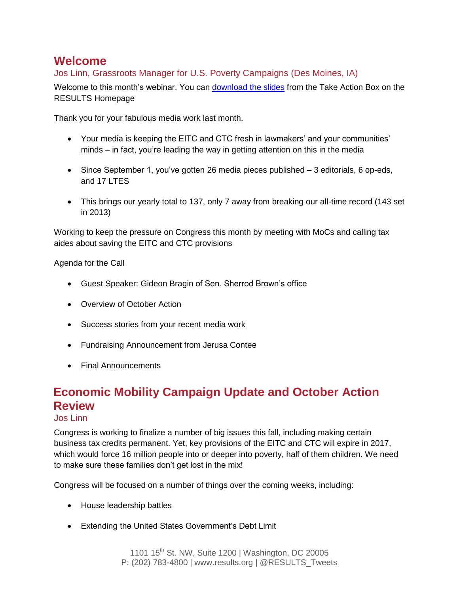# **Welcome**

Jos Linn, Grassroots Manager for U.S. Poverty Campaigns (Des Moines, IA)

Welcome to this month's webinar. You can [download the slides](http://www.results.org/uploads/files/2015-10_RESULTS_U_S_Poverty_National_Webinar_Slides.pdf) from the Take Action Box on the RESULTS Homepage

Thank you for your fabulous media work last month.

- Your media is keeping the EITC and CTC fresh in lawmakers' and your communities' minds – in fact, you're leading the way in getting attention on this in the media
- Since September 1, you've gotten 26 media pieces published 3 editorials, 6 op-eds, and 17 LTES
- This brings our yearly total to 137, only 7 away from breaking our all-time record (143 set in 2013)

Working to keep the pressure on Congress this month by meeting with MoCs and calling tax aides about saving the EITC and CTC provisions

Agenda for the Call

- Guest Speaker: Gideon Bragin of Sen. Sherrod Brown's office
- Overview of October Action
- Success stories from your recent media work
- Fundraising Announcement from Jerusa Contee
- Final Announcements

# **Economic Mobility Campaign Update and October Action Review**

#### Jos Linn

Congress is working to finalize a number of big issues this fall, including making certain business tax credits permanent. Yet, key provisions of the EITC and CTC will expire in 2017, which would force 16 million people into or deeper into poverty, half of them children. We need to make sure these families don't get lost in the mix!

Congress will be focused on a number of things over the coming weeks, including:

- House leadership battles
- Extending the United States Government's Debt Limit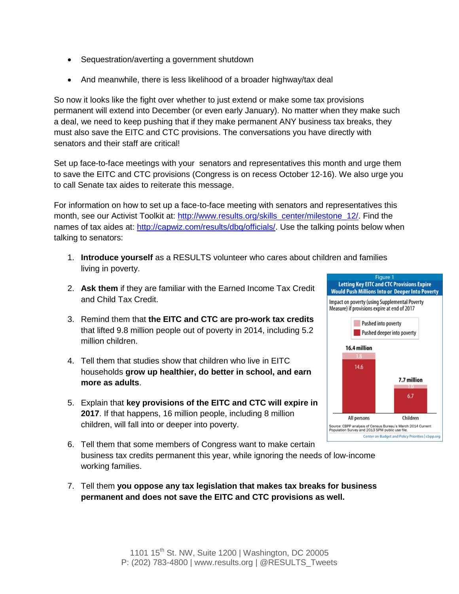- Sequestration/averting a government shutdown
- And meanwhile, there is less likelihood of a broader highway/tax deal

So now it looks like the fight over whether to just extend or make some tax provisions permanent will extend into December (or even early January). No matter when they make such a deal, we need to keep pushing that if they make permanent ANY business tax breaks, they must also save the EITC and CTC provisions. The conversations you have directly with senators and their staff are critical!

Set up face-to-face meetings with your senators and representatives this month and urge them to save the EITC and CTC provisions (Congress is on recess October 12-16). We also urge you to call Senate tax aides to reiterate this message.

For information on how to set up a face-to-face meeting with senators and representatives this month, see our Activist Toolkit at: [http://www.results.org/skills\\_center/milestone\\_12/.](http://www.results.org/skills_center/milestone_12/) Find the names of tax aides at: [http://capwiz.com/results/dbq/officials/.](http://capwiz.com/results/dbq/officials/) Use the talking points below when talking to senators:

- 1. **Introduce yourself** as a RESULTS volunteer who cares about children and families living in poverty.
- 2. **Ask them** if they are familiar with the Earned Income Tax Credit and Child Tax Credit.
- 3. Remind them that **the EITC and CTC are pro-work tax credits**  that lifted 9.8 million people out of poverty in 2014, including 5.2 million children.
- 4. Tell them that studies show that children who live in EITC households **grow up healthier, do better in school, and earn more as adults**.
- 5. Explain that **key provisions of the EITC and CTC will expire in 2017**. If that happens, 16 million people, including 8 million children, will fall into or deeper into poverty.



- 6. Tell them that some members of Congress want to make certain business tax credits permanent this year, while ignoring the needs of low-income working families.
- 7. Tell them **you oppose any tax legislation that makes tax breaks for business permanent and does not save the EITC and CTC provisions as well.**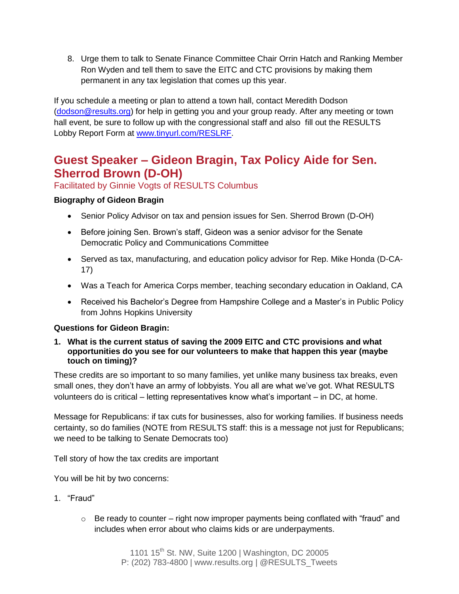8. Urge them to talk to Senate Finance Committee Chair Orrin Hatch and Ranking Member Ron Wyden and tell them to save the EITC and CTC provisions by making them permanent in any tax legislation that comes up this year.

If you schedule a meeting or plan to attend a town hall, contact Meredith Dodson [\(dodson@results.org\)](mailto:dodson@results.org) for help in getting you and your group ready. After any meeting or town hall event, be sure to follow up with the congressional staff and also fill out the RESULTS Lobby Report Form at [www.tinyurl.com/RESLRF.](http://www.tinyurl.com/RESLRF)

# **Guest Speaker – Gideon Bragin, Tax Policy Aide for Sen. Sherrod Brown (D-OH)**

Facilitated by Ginnie Vogts of RESULTS Columbus

### **Biography of Gideon Bragin**

- Senior Policy Advisor on tax and pension issues for Sen. Sherrod Brown (D-OH)
- Before joining Sen. Brown's staff, Gideon was a senior advisor for the Senate Democratic Policy and Communications Committee
- Served as tax, manufacturing, and education policy advisor for Rep. Mike Honda (D-CA-17)
- Was a Teach for America Corps member, teaching secondary education in Oakland, CA
- Received his Bachelor's Degree from Hampshire College and a Master's in Public Policy from Johns Hopkins University

#### **Questions for Gideon Bragin:**

**1. What is the current status of saving the 2009 EITC and CTC provisions and what opportunities do you see for our volunteers to make that happen this year (maybe touch on timing)?**

These credits are so important to so many families, yet unlike many business tax breaks, even small ones, they don't have an army of lobbyists. You all are what we've got. What RESULTS volunteers do is critical – letting representatives know what's important – in DC, at home.

Message for Republicans: if tax cuts for businesses, also for working families. If business needs certainty, so do families (NOTE from RESULTS staff: this is a message not just for Republicans; we need to be talking to Senate Democrats too)

Tell story of how the tax credits are important

You will be hit by two concerns:

- 1. "Fraud"
	- $\circ$  Be ready to counter right now improper payments being conflated with "fraud" and includes when error about who claims kids or are underpayments.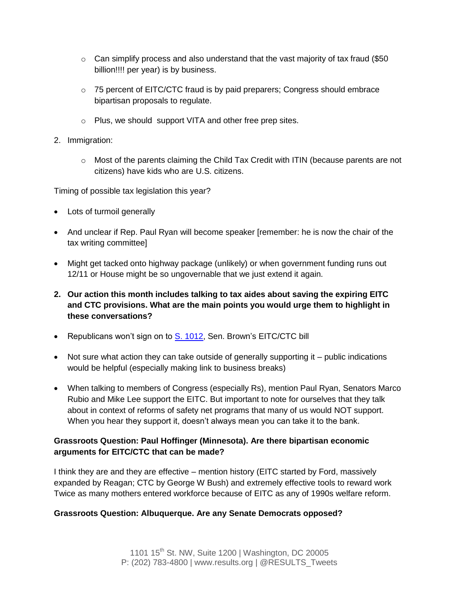- $\circ$  Can simplify process and also understand that the vast majority of tax fraud (\$50) billion!!!! per year) is by business.
- $\circ$  75 percent of EITC/CTC fraud is by paid preparers; Congress should embrace bipartisan proposals to regulate.
- o Plus, we should support VITA and other free prep sites.
- 2. Immigration:
	- $\circ$  Most of the parents claiming the Child Tax Credit with ITIN (because parents are not citizens) have kids who are U.S. citizens.

Timing of possible tax legislation this year?

- Lots of turmoil generally
- And unclear if Rep. Paul Ryan will become speaker [remember: he is now the chair of the tax writing committee]
- Might get tacked onto highway package (unlikely) or when government funding runs out 12/11 or House might be so ungovernable that we just extend it again.
- **2. Our action this month includes talking to tax aides about saving the expiring EITC and CTC provisions. What are the main points you would urge them to highlight in these conversations?**
- Republicans won't sign on to [S. 1012,](http://capwiz.com/results/issues/bills/?bill=66825161) Sen. Brown's EITC/CTC bill
- Not sure what action they can take outside of generally supporting it public indications would be helpful (especially making link to business breaks)
- When talking to members of Congress (especially Rs), mention Paul Ryan, Senators Marco Rubio and Mike Lee support the EITC. But important to note for ourselves that they talk about in context of reforms of safety net programs that many of us would NOT support. When you hear they support it, doesn't always mean you can take it to the bank.

## **Grassroots Question: Paul Hoffinger (Minnesota). Are there bipartisan economic arguments for EITC/CTC that can be made?**

I think they are and they are effective – mention history (EITC started by Ford, massively expanded by Reagan; CTC by George W Bush) and extremely effective tools to reward work Twice as many mothers entered workforce because of EITC as any of 1990s welfare reform.

#### **Grassroots Question: Albuquerque. Are any Senate Democrats opposed?**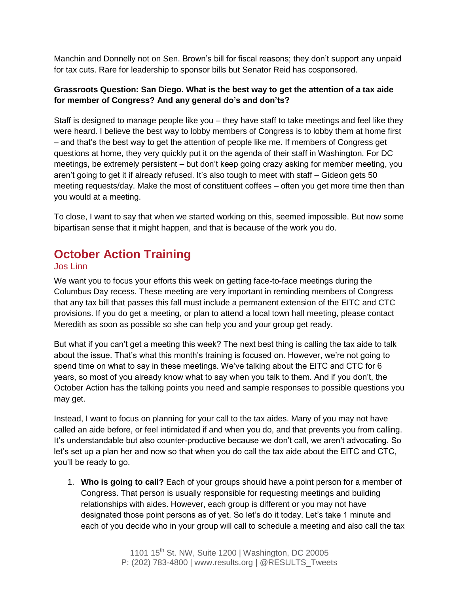Manchin and Donnelly not on Sen. Brown's bill for fiscal reasons; they don't support any unpaid for tax cuts. Rare for leadership to sponsor bills but Senator Reid has cosponsored.

## **Grassroots Question: San Diego. What is the best way to get the attention of a tax aide for member of Congress? And any general do's and don'ts?**

Staff is designed to manage people like you – they have staff to take meetings and feel like they were heard. I believe the best way to lobby members of Congress is to lobby them at home first – and that's the best way to get the attention of people like me. If members of Congress get questions at home, they very quickly put it on the agenda of their staff in Washington. For DC meetings, be extremely persistent – but don't keep going crazy asking for member meeting, you aren't going to get it if already refused. It's also tough to meet with staff – Gideon gets 50 meeting requests/day. Make the most of constituent coffees – often you get more time then than you would at a meeting.

To close, I want to say that when we started working on this, seemed impossible. But now some bipartisan sense that it might happen, and that is because of the work you do.

# **October Action Training**

Jos Linn

We want you to focus your efforts this week on getting face-to-face meetings during the Columbus Day recess. These meeting are very important in reminding members of Congress that any tax bill that passes this fall must include a permanent extension of the EITC and CTC provisions. If you do get a meeting, or plan to attend a local town hall meeting, please contact Meredith as soon as possible so she can help you and your group get ready.

But what if you can't get a meeting this week? The next best thing is calling the tax aide to talk about the issue. That's what this month's training is focused on. However, we're not going to spend time on what to say in these meetings. We've talking about the EITC and CTC for 6 years, so most of you already know what to say when you talk to them. And if you don't, the October Action has the talking points you need and sample responses to possible questions you may get.

Instead, I want to focus on planning for your call to the tax aides. Many of you may not have called an aide before, or feel intimidated if and when you do, and that prevents you from calling. It's understandable but also counter-productive because we don't call, we aren't advocating. So let's set up a plan her and now so that when you do call the tax aide about the EITC and CTC, you'll be ready to go.

1. **Who is going to call?** Each of your groups should have a point person for a member of Congress. That person is usually responsible for requesting meetings and building relationships with aides. However, each group is different or you may not have designated those point persons as of yet. So let's do it today. Let's take 1 minute and each of you decide who in your group will call to schedule a meeting and also call the tax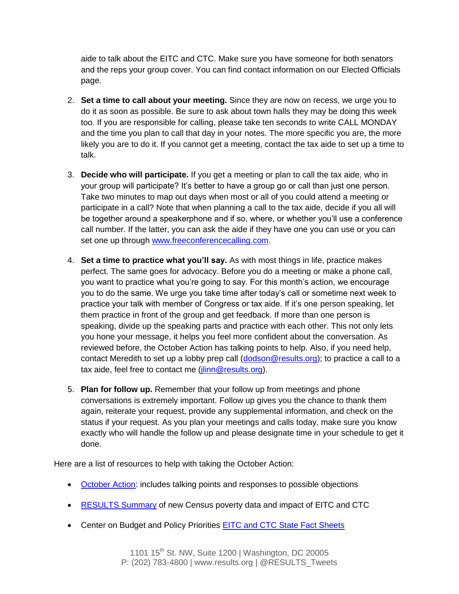aide to talk about the EITC and CTC. Make sure you have someone for both senators and the reps your group cover. You can find contact information on our Elected Officials page.

- 2. **Set a time to call about your meeting.** Since they are now on recess, we urge you to do it as soon as possible. Be sure to ask about town halls they may be doing this week too. If you are responsible for calling, please take ten seconds to write CALL MONDAY and the time you plan to call that day in your notes. The more specific you are, the more likely you are to do it. If you cannot get a meeting, contact the tax aide to set up a time to talk.
- 3. **Decide who will participate.** If you get a meeting or plan to call the tax aide, who in your group will participate? It's better to have a group go or call than just one person. Take two minutes to map out days when most or all of you could attend a meeting or participate in a call? Note that when planning a call to the tax aide, decide if you all will be together around a speakerphone and if so, where, or whether you'll use a conference call number. If the latter, you can ask the aide if they have one you can use or you can set one up through [www.freeconferencecalling.com.](http://www.freeconferencecalling.com/)
- 4. **Set a time to practice what you'll say.** As with most things in life, practice makes perfect. The same goes for advocacy. Before you do a meeting or make a phone call, you want to practice what you're going to say. For this month's action, we encourage you to do the same. We urge you take time after today's call or sometime next week to practice your talk with member of Congress or tax aide. If it's one person speaking, let them practice in front of the group and get feedback. If more than one person is speaking, divide up the speaking parts and practice with each other. This not only lets you hone your message, it helps you feel more confident about the conversation. As reviewed before, the October Action has talking points to help. Also, if you need help, contact Meredith to set up a lobby prep call [\(dodson@results.org\)](mailto:dodson@results.org); to practice a call to a tax aide, feel free to contact me [\(jlinn@results.org\)](mailto:jlinn@results.org).
- 5. **Plan for follow up.** Remember that your follow up from meetings and phone conversations is extremely important. Follow up gives you the chance to thank them again, reiterate your request, provide any supplemental information, and check on the status if your request. As you plan your meetings and calls today, make sure you know exactly who will handle the follow up and please designate time in your schedule to get it done.

Here are a list of resources to help with taking the October Action:

- [October Action:](http://www.results.org/take_action/october_2015_u.s._poverty_action/) includes talking points and responses to possible objections
- [RESULTS Summary](http://www.results.org/newsroom/upcoming_u.s._poverty_data_will_show_urgency_of_saving_pro_work_tax_credits/) of new Census poverty data and impact of EITC and CTC
- Center on Budget and Policy Priorities [EITC and CTC State Fact Sheets](http://www.cbpp.org/research/federal-tax/state-fact-sheets-the-earned-income-and-child-tax-credits)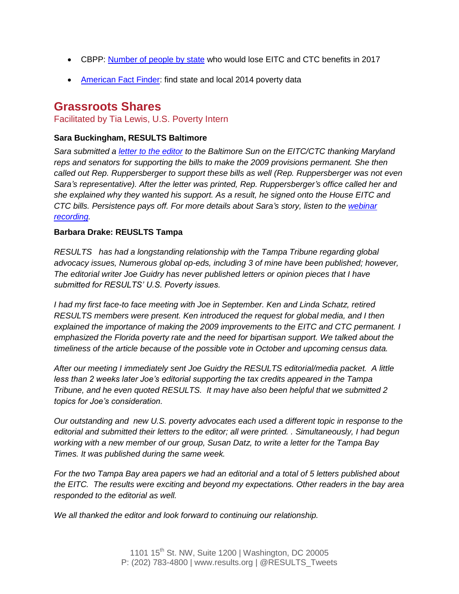- CBPP: [Number of people by state](http://www.cbpp.org/research/federal-tax/letting-key-provisions-of-working-family-tax-credits-expire-would-push-16) who would lose EITC and CTC benefits in 2017
- [American Fact Finder:](http://factfinder.census.gov/faces/nav/jsf/pages/index.xhtml) find state and local 2014 poverty data

# **Grassroots Shares**

### Facilitated by Tia Lewis, U.S. Poverty Intern

### **Sara Buckingham, RESULTS Baltimore**

*Sara submitted a [letter to the editor](http://www.baltimoresun.com/news/opinion/bs-ed-recession-letter-20150922-story.html) to the Baltimore Sun on the EITC/CTC thanking Maryland reps and senators for supporting the bills to make the 2009 provisions permanent. She then called out Rep. Ruppersberger to support these bills as well (Rep. Ruppersberger was not even Sara's representative). After the letter was printed, Rep. Ruppersberger's office called her and she explained why they wanted his support. As a result, he signed onto the House EITC and CTC bills. Persistence pays off. For more details about Sara's story, listen to the [webinar](http://www.results.org/skills_center/results_national_conference_calls/)  [recording.](http://www.results.org/skills_center/results_national_conference_calls/)*

### **Barbara Drake: REUSLTS Tampa**

*RESULTS has had a longstanding relationship with the Tampa Tribune regarding global advocacy issues, Numerous global op-eds, including 3 of mine have been published; however, The editorial writer Joe Guidry has never published letters or opinion pieces that I have submitted for RESULTS' U.S. Poverty issues.*

*I had my first face-to face meeting with Joe in September. Ken and Linda Schatz, retired RESULTS members were present. Ken introduced the request for global media, and I then explained the importance of making the 2009 improvements to the EITC and CTC permanent. I emphasized the Florida poverty rate and the need for bipartisan support. We talked about the timeliness of the article because of the possible vote in October and upcoming census data.*

*After our meeting I immediately sent Joe Guidry the RESULTS editorial/media packet. A little less than 2 weeks later Joe's editorial supporting the tax credits appeared in the Tampa Tribune, and he even quoted RESULTS. It may have also been helpful that we submitted 2 topics for Joe's consideration.*

*Our outstanding and new U.S. poverty advocates each used a different topic in response to the editorial and submitted their letters to the editor; all were printed. . Simultaneously, I had begun working with a new member of our group, Susan Datz, to write a letter for the Tampa Bay Times. It was published during the same week.*

*For the two Tampa Bay area papers we had an editorial and a total of 5 letters published about the EITC. The results were exciting and beyond my expectations. Other readers in the bay area responded to the editorial as well.*

*We all thanked the editor and look forward to continuing our relationship.*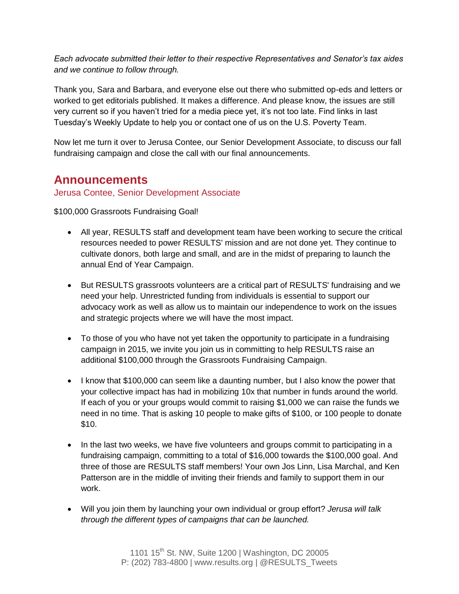*Each advocate submitted their letter to their respective Representatives and Senator's tax aides and we continue to follow through.*

Thank you, Sara and Barbara, and everyone else out there who submitted op-eds and letters or worked to get editorials published. It makes a difference. And please know, the issues are still very current so if you haven't tried for a media piece yet, it's not too late. Find links in last Tuesday's Weekly Update to help you or contact one of us on the U.S. Poverty Team.

Now let me turn it over to Jerusa Contee, our Senior Development Associate, to discuss our fall fundraising campaign and close the call with our final announcements.

# **Announcements**

## Jerusa Contee, Senior Development Associate

\$100,000 Grassroots Fundraising Goal!

- All year, RESULTS staff and development team have been working to secure the critical resources needed to power RESULTS' mission and are not done yet. They continue to cultivate donors, both large and small, and are in the midst of preparing to launch the annual End of Year Campaign.
- But RESULTS grassroots volunteers are a critical part of RESULTS' fundraising and we need your help. Unrestricted funding from individuals is essential to support our advocacy work as well as allow us to maintain our independence to work on the issues and strategic projects where we will have the most impact.
- To those of you who have not yet taken the opportunity to participate in a fundraising campaign in 2015, we invite you join us in committing to help RESULTS raise an additional \$100,000 through the Grassroots Fundraising Campaign.
- I know that \$100,000 can seem like a daunting number, but I also know the power that your collective impact has had in mobilizing 10x that number in funds around the world. If each of you or your groups would commit to raising \$1,000 we can raise the funds we need in no time. That is asking 10 people to make gifts of \$100, or 100 people to donate \$10.
- In the last two weeks, we have five volunteers and groups commit to participating in a fundraising campaign, committing to a total of \$16,000 towards the \$100,000 goal. And three of those are RESULTS staff members! Your own Jos Linn, Lisa Marchal, and Ken Patterson are in the middle of inviting their friends and family to support them in our work.
- Will you join them by launching your own individual or group effort? *Jerusa will talk through the different types of campaigns that can be launched.*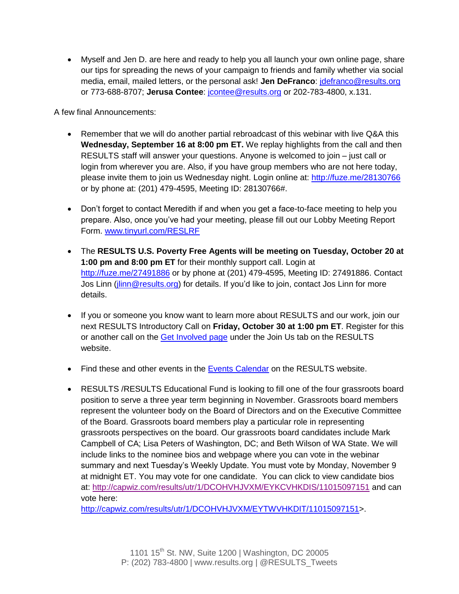Myself and Jen D. are here and ready to help you all launch your own online page, share our tips for spreading the news of your campaign to friends and family whether via social media, email, mailed letters, or the personal ask! **Jen DeFranco**: [jdefranco@results.org](mailto:jdefranco@results.org) or 773-688-8707; **Jerusa Contee**: [jcontee@results.org](mailto:jcontee@results.org) or 202-783-4800, x.131.

A few final Announcements:

- Remember that we will do another partial rebroadcast of this webinar with live Q&A this **Wednesday, September 16 at 8:00 pm ET.** We replay highlights from the call and then RESULTS staff will answer your questions. Anyone is welcomed to join – just call or login from wherever you are. Also, if you have group members who are not here today, please invite them to join us Wednesday night. Login online at:<http://fuze.me/28130766> or by phone at: (201) 479-4595, Meeting ID: 28130766#.
- Don't forget to contact Meredith if and when you get a face-to-face meeting to help you prepare. Also, once you've had your meeting, please fill out our Lobby Meeting Report Form. [www.tinyurl.com/RESLRF](http://www.tinyurl.com/RESLRF)
- The **RESULTS U.S. Poverty Free Agents will be meeting on Tuesday, October 20 at 1:00 pm and 8:00 pm ET** for their monthly support call. Login at <http://fuze.me/27491886> or by phone at (201) 479-4595, Meeting ID: 27491886. Contact Jos Linn [\(jlinn@results.org\)](mailto:jlinn@results.org) for details. If you'd like to join, contact Jos Linn for more details.
- If you or someone you know want to learn more about RESULTS and our work, join our next RESULTS Introductory Call on **Friday, October 30 at 1:00 pm ET**. Register for this or another call on the [Get Involved page](http://www.results.org/take_action/become_a_results_activist/) under the Join Us tab on the RESULTS website.
- Find these and other events in the [Events Calendar](http://www.results.org/events/events_calendar/) on the RESULTS website.
- RESULTS /RESULTS Educational Fund is looking to fill one of the four grassroots board position to serve a three year term beginning in November. Grassroots board members represent the volunteer body on the Board of Directors and on the Executive Committee of the Board. Grassroots board members play a particular role in representing grassroots perspectives on the board. Our grassroots board candidates include Mark Campbell of CA; Lisa Peters of Washington, DC; and Beth Wilson of WA State. We will include links to the nominee bios and webpage where you can vote in the webinar summary and next Tuesday's Weekly Update. You must vote by Monday, November 9 at midnight ET. You may vote for one candidate. You can click to view candidate bios at:<http://capwiz.com/results/utr/1/DCOHVHJVXM/EYKCVHKDIS/11015097151> and can vote here:

[http://capwiz.com/results/utr/1/DCOHVHJVXM/EYTWVHKDIT/11015097151>](http://capwiz.com/results/utr/1/DCOHVHJVXM/EYTWVHKDIT/11015097151).